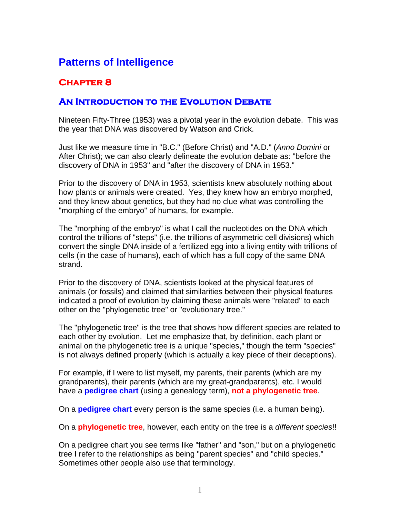## **Patterns of Intelligence**

## **Chapter 8**

## **An Introduction to the Evolution Debate**

Nineteen Fifty-Three (1953) was a pivotal year in the evolution debate. This was the year that DNA was discovered by Watson and Crick.

Just like we measure time in "B.C." (Before Christ) and "A.D." (*Anno Domini* or After Christ); we can also clearly delineate the evolution debate as: "before the discovery of DNA in 1953" and "after the discovery of DNA in 1953."

Prior to the discovery of DNA in 1953, scientists knew absolutely nothing about how plants or animals were created. Yes, they knew how an embryo morphed, and they knew about genetics, but they had no clue what was controlling the "morphing of the embryo" of humans, for example.

The "morphing of the embryo" is what I call the nucleotides on the DNA which control the trillions of "steps" (i.e. the trillions of asymmetric cell divisions) which convert the single DNA inside of a fertilized egg into a living entity with trillions of cells (in the case of humans), each of which has a full copy of the same DNA strand.

Prior to the discovery of DNA, scientists looked at the physical features of animals (or fossils) and claimed that similarities between their physical features indicated a proof of evolution by claiming these animals were "related" to each other on the "phylogenetic tree" or "evolutionary tree."

The "phylogenetic tree" is the tree that shows how different species are related to each other by evolution. Let me emphasize that, by definition, each plant or animal on the phylogenetic tree is a unique "species," though the term "species" is not always defined properly (which is actually a key piece of their deceptions).

For example, if I were to list myself, my parents, their parents (which are my grandparents), their parents (which are my great-grandparents), etc. I would have a **pedigree chart** (using a genealogy term), **not a phylogenetic tree**.

On a **pedigree chart** every person is the same species (i.e. a human being).

On a **phylogenetic tree**, however, each entity on the tree is a *different species*!!

On a pedigree chart you see terms like "father" and "son," but on a phylogenetic tree I refer to the relationships as being "parent species" and "child species." Sometimes other people also use that terminology.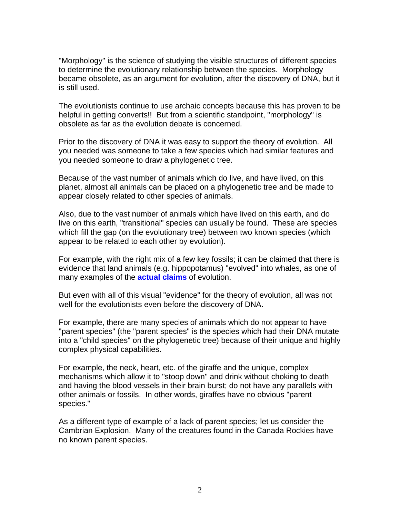"Morphology" is the science of studying the visible structures of different species to determine the evolutionary relationship between the species. Morphology became obsolete, as an argument for evolution, after the discovery of DNA, but it is still used.

The evolutionists continue to use archaic concepts because this has proven to be helpful in getting converts!! But from a scientific standpoint, "morphology" is obsolete as far as the evolution debate is concerned.

Prior to the discovery of DNA it was easy to support the theory of evolution. All you needed was someone to take a few species which had similar features and you needed someone to draw a phylogenetic tree.

Because of the vast number of animals which do live, and have lived, on this planet, almost all animals can be placed on a phylogenetic tree and be made to appear closely related to other species of animals.

Also, due to the vast number of animals which have lived on this earth, and do live on this earth, "transitional" species can usually be found. These are species which fill the gap (on the evolutionary tree) between two known species (which appear to be related to each other by evolution).

For example, with the right mix of a few key fossils; it can be claimed that there is evidence that land animals (e.g. hippopotamus) "evolved" into whales, as one of many examples of the **actual claims** of evolution.

But even with all of this visual "evidence" for the theory of evolution, all was not well for the evolutionists even before the discovery of DNA.

For example, there are many species of animals which do not appear to have "parent species" (the "parent species" is the species which had their DNA mutate into a "child species" on the phylogenetic tree) because of their unique and highly complex physical capabilities.

For example, the neck, heart, etc. of the giraffe and the unique, complex mechanisms which allow it to "stoop down" and drink without choking to death and having the blood vessels in their brain burst; do not have any parallels with other animals or fossils. In other words, giraffes have no obvious "parent species."

As a different type of example of a lack of parent species; let us consider the Cambrian Explosion. Many of the creatures found in the Canada Rockies have no known parent species.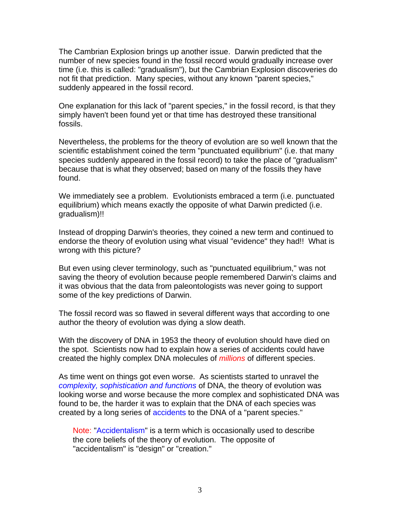The Cambrian Explosion brings up another issue. Darwin predicted that the number of new species found in the fossil record would gradually increase over time (i.e. this is called: "gradualism"), but the Cambrian Explosion discoveries do not fit that prediction. Many species, without any known "parent species," suddenly appeared in the fossil record.

One explanation for this lack of "parent species," in the fossil record, is that they simply haven't been found yet or that time has destroyed these transitional fossils.

Nevertheless, the problems for the theory of evolution are so well known that the scientific establishment coined the term "punctuated equilibrium" (i.e. that many species suddenly appeared in the fossil record) to take the place of "gradualism" because that is what they observed; based on many of the fossils they have found.

We immediately see a problem. Evolutionists embraced a term (i.e. punctuated equilibrium) which means exactly the opposite of what Darwin predicted (i.e. gradualism)!!

Instead of dropping Darwin's theories, they coined a new term and continued to endorse the theory of evolution using what visual "evidence" they had!! What is wrong with this picture?

But even using clever terminology, such as "punctuated equilibrium," was not saving the theory of evolution because people remembered Darwin's claims and it was obvious that the data from paleontologists was never going to support some of the key predictions of Darwin.

The fossil record was so flawed in several different ways that according to one author the theory of evolution was dying a slow death.

With the discovery of DNA in 1953 the theory of evolution should have died on the spot. Scientists now had to explain how a series of accidents could have created the highly complex DNA molecules of *millions* of different species.

As time went on things got even worse. As scientists started to unravel the *complexity, sophistication and functions* of DNA, the theory of evolution was looking worse and worse because the more complex and sophisticated DNA was found to be, the harder it was to explain that the DNA of each species was created by a long series of accidents to the DNA of a "parent species."

Note: "Accidentalism" is a term which is occasionally used to describe the core beliefs of the theory of evolution. The opposite of "accidentalism" is "design" or "creation."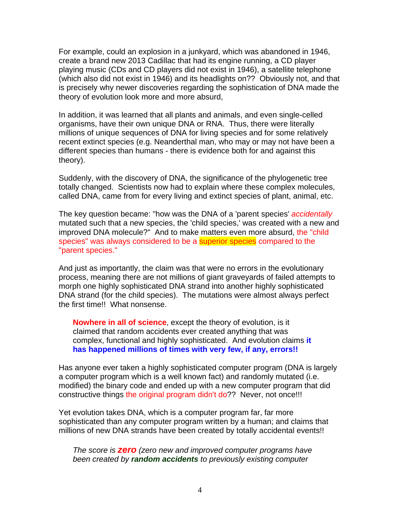For example, could an explosion in a junkyard, which was abandoned in 1946, create a brand new 2013 Cadillac that had its engine running, a CD player playing music (CDs and CD players did not exist in 1946), a satellite telephone (which also did not exist in 1946) and its headlights on?? Obviously not, and that is precisely why newer discoveries regarding the sophistication of DNA made the theory of evolution look more and more absurd,

In addition, it was learned that all plants and animals, and even single-celled organisms, have their own unique DNA or RNA. Thus, there were literally millions of unique sequences of DNA for living species and for some relatively recent extinct species (e.g. Neanderthal man, who may or may not have been a different species than humans - there is evidence both for and against this theory).

Suddenly, with the discovery of DNA, the significance of the phylogenetic tree totally changed. Scientists now had to explain where these complex molecules, called DNA, came from for every living and extinct species of plant, animal, etc.

The key question became: "how was the DNA of a 'parent species' *accidentally* mutated such that a new species, the 'child species,' was created with a new and improved DNA molecule?" And to make matters even more absurd, the "child species" was always considered to be a **superior species** compared to the "parent species."

And just as importantly, the claim was that were no errors in the evolutionary process, meaning there are not millions of giant graveyards of failed attempts to morph one highly sophisticated DNA strand into another highly sophisticated DNA strand (for the child species). The mutations were almost always perfect the first time!! What nonsense.

**Nowhere in all of science**, except the theory of evolution, is it claimed that random accidents ever created anything that was complex, functional and highly sophisticated. And evolution claims **it has happened millions of times with very few, if any, errors!!**

Has anyone ever taken a highly sophisticated computer program (DNA is largely a computer program which is a well known fact) and randomly mutated (i.e. modified) the binary code and ended up with a new computer program that did constructive things the original program didn't do?? Never, not once!!!

Yet evolution takes DNA, which is a computer program far, far more sophisticated than any computer program written by a human; and claims that millions of new DNA strands have been created by totally accidental events!!

*The score is zero (zero new and improved computer programs have been created by random accidents to previously existing computer*